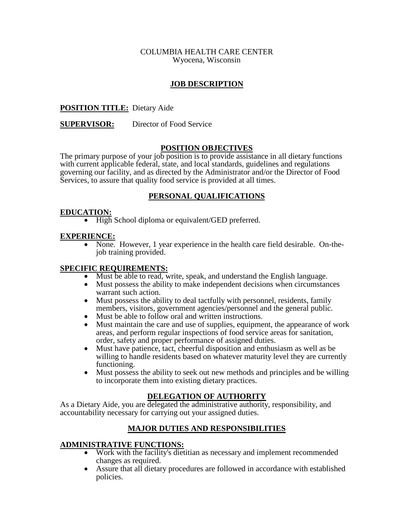## COLUMBIA HEALTH CARE CENTER Wyocena, Wisconsin

# **JOB DESCRIPTION**

# **POSITION TITLE:** Dietary Aide

## **SUPERVISOR:** Director of Food Service

## **POSITION OBJECTIVES**

The primary purpose of your job position is to provide assistance in all dietary functions with current applicable federal, state, and local standards, guidelines and regulations governing our facility, and as directed by the Administrator and/or the Director of Food Services, to assure that quality food service is provided at all times.

## **PERSONAL QUALIFICATIONS**

**EDUCATION:**<br>• High School diploma or equivalent/GED preferred.

**EXPERIENCE:** • None. However, 1 year experience in the health care field desirable. On-the-<br>job training provided.

- **SPECIFIC REQUIREMENTS:**<br>
Must be able to read, write, speak, and understand the English language.<br>
Must possess the ability to make independent decisions when circumstances
	-
	- Must possess the ability to deal tactfully with personnel, residents, family members, visitors, government agencies/personnel and the general public.
	-
	- members, and the general and the general public instructions.<br>• Must maintain the care and use of supplies, equipment, the appearance of work areas, and perform regular inspections of food service areas for sanitation,
	- order, safety and proper performance of assigned duties.<br>• Must have patience, tact, cheerful disposition and enthusiasm as well as be willing to handle residents based on whatever maturity level they are currently functioning.
	- Must possess the ability to seek out new methods and principles and be willing to incorporate them into existing dietary practices.

## **DELEGATION OF AUTHORITY**

As a Dietary Aide, you are delegated the administrative authority, responsibility, and accountability necessary for carrying out your assigned duties.

## **MAJOR DUTIES AND RESPONSIBILITIES**

### **ADMINISTRATIVE FUNCTIONS:**

- Work with the facility's dietitian as necessary and implement recommended changes as required.
- Assure that all dietary procedures are followed in accordance with established policies.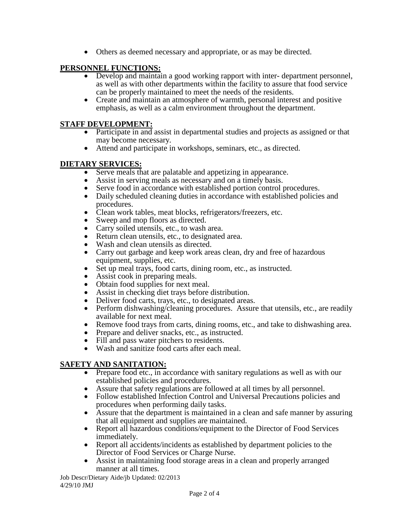• Others as deemed necessary and appropriate, or as may be directed.

# **PERSONNEL FUNCTIONS:**

- Develop and maintain a good working rapport with inter-department personnel, as well as with other departments within the facility to assure that food service can be properly maintained to meet the needs of the residents.
- Create and maintain an atmosphere of warmth, personal interest and positive emphasis, as well as a calm environment throughout the department.

- **STAFF DEVELOPMENT:**<br>• Participate in and assist in departmental studies and projects as assigned or that
	- may become necessary.<br>• Attend and participate in workshops, seminars, etc., as directed.

- 
- 
- **DIETARY SERVICES:**<br>
Serve meals that are palatable and appetizing in appearance.<br>
Assist in serving meals as necessary and on a timely basis.<br>
Serve food in accordance with established portion control procedures.<br>
	-
	-
	-
	-
	-
	-
	- Clean work tables, meat blocks, refrigerators/freezers, etc.<br>
	Sweep and mop floors as directed.<br>
	Carry soiled utensils, etc., to wash area.<br>
	Return clean utensils, etc., to designated area.<br>
	Wash and clean utensi
	- equipment is et up meal trays, food carts, dining room, etc., as instructed.<br>• Assist cook in preparing meals.
	-
	- Obtain food supplies for next meal.
	- Assist in checking diet trays before distribution.
	- Deliver food carts, trays, etc., to designated areas.
	- Perform dishwashing/cleaning procedures. Assure that utensils, etc., are readily available for next meal.
	- Remove food trays from carts, dining rooms, etc., and take to dishwashing area.
	- Prepare and deliver snacks, etc., as instructed.
	- Fill and pass water pitchers to residents.
	- Wash and sanitize food carts after each meal.

- **SAFETY AND SANITATION:**<br>• Prepare food etc., in accordance with sanitary regulations as well as with our established policies and procedures.
	-
	- Assure that safety regulations are followed at all times by all personnel.<br>• Follow established Infection Control and Universal Precautions policies and procedures when performing daily tasks.
	- Assure that the department is maintained in a clean and safe manner by assuring that all equipment and supplies are maintained.
	- Report all hazardous conditions/equipment to the Director of Food Services immediately.
	- Report all accidents/incidents as established by department policies to the Director of Food Services or Charge Nurse.
	- Assist in maintaining food storage areas in a clean and properly arranged manner at all times.

Job Descr/Dietary Aide/jb Updated: 02/2013 4/29/10 JMJ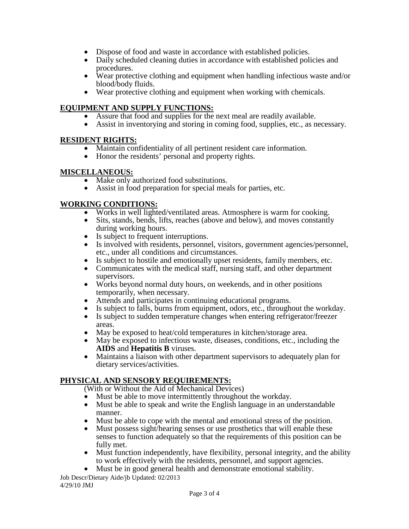- Dispose of food and waste in accordance with established policies.
- Daily scheduled cleaning duties in accordance with established policies and procedures.
- Wear protective clothing and equipment when handling infectious waste and/or blood/body fluids.
- $\bullet$  Wear protective clothing and equipment when working with chemicals.

- 
- **EQUIPMENT AND SUPPLY FUNCTIONS:**<br>• Assure that food and supplies for the next meal are readily available.<br>• Assist in inventorying and storing in coming food, supplies, etc., as necessary.

- **RESIDENT RIGHTS:**<br>
Maintain confidentiality of all pertinent resident care information.<br>
Honor the residents' personal and property rights.
	-

- 
- **MISCELLANEOUS:**<br>• Make only authorized food substitutions.<br>• Assist in food preparation for special meals for parties, etc.

- 
- **WORKING CONDITIONS:**<br>
Works in well lighted/ventilated areas. Atmosphere is warm for cooking.<br>
Sits, stands, bends, lifts, reaches (above and below), and moves constantly during working hours.
	-
	- Is subject to frequent interruptions.<br>• Is involved with residents, personnel, visitors, government agencies/personnel,
	- etc., under all conditions and circumstances. Is subject to hostile and emotionally upset residents, family members, etc. Communicates with the medical staff, nursing staff, and other department
	- supervisors.<br>• Works beyond normal duty hours, on weekends, and in other positions
	-
	-
	- Attends and participates in continuing educational programs.<br>• Attends and participates in continuing educational programs.<br>• Is subject to falls, burns from equipment, odors, etc., throughout the workday.<br>• Is subject t
	-
	-
	- May be exposed to heat/cold temperatures in kitchen/storage area.<br>• May be exposed to infectious waste, diseases, conditions, etc., including the **AIDS** and **Hepatitis B** viruses.
	- Maintains a liaison with other department supervisors to adequately plan for dietary services/activities.

# **PHYSICAL AND SENSORY REQUIREMENTS:**

- (With or Without the Aid of Mechanical Devices)<br>• Must be able to move intermittently throughout the workday.
- Must be able to move intermittently throughout the workday.<br>• Must be able to speak and write the English language in an understandable manner.
- Must be able to cope with the mental and emotional stress of the position.
- Must possess sight/hearing senses or use prosthetics that will enable these senses to function adequately so that the requirements of this position can be fully met.
- Must function independently, have flexibility, personal integrity, and the ability to work effectively with the residents, personnel, and support agencies.
- Must be in good general health and demonstrate emotional stability.

Job Descr/Dietary Aide/jb Updated: 02/2013 4/29/10 JMJ